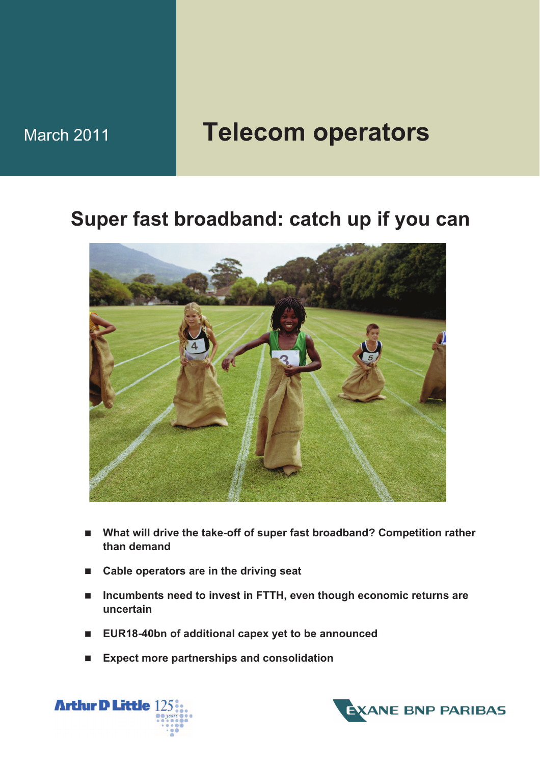# March 2011 **Telecom operators**

## **Super fast broadband: catch up if you can**



- **What will drive the take-off of super fast broadband? Competition rather than demand**
- **Cable operators are in the driving seat**
- Incumbents need to invest in FTTH, even though economic returns are **uncertain**
- **EUR18-40bn of additional capex yet to be announced**
- **Expect more partnerships and consolidation**



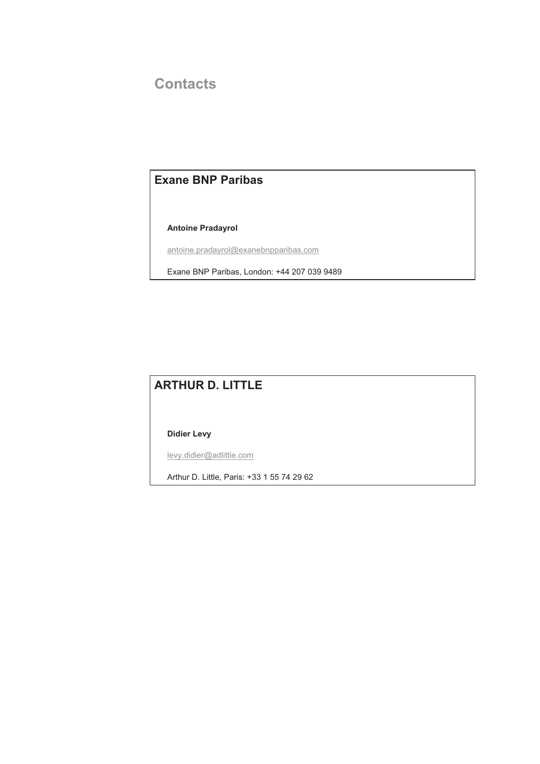### **Contacts**

### **Exane BNP Paribas**

 **Antoine Pradayrol** 

antoine.pradayrol@exanebnpparibas.com

Exane BNP Paribas, London: +44 207 039 9489

### **ARTHUR D. LITTLE**

 **Didier Levy**

levy.didier@adlittle.com

Arthur D. Little, Paris: +33 1 55 74 29 62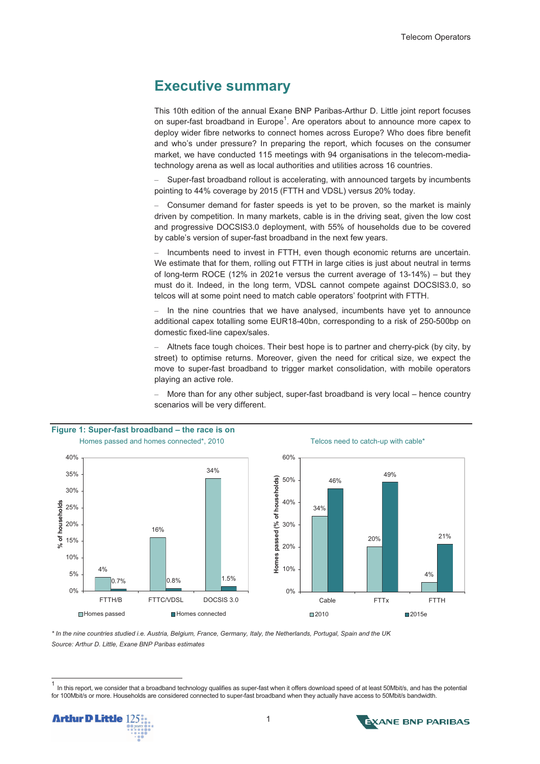### **Executive summary**

This 10th edition of the annual Exane BNP Paribas-Arthur D. Little joint report focuses on super-fast broadband in Europe<sup>1</sup>. Are operators about to announce more capex to deploy wider fibre networks to connect homes across Europe? Who does fibre benefit and who's under pressure? In preparing the report, which focuses on the consumer market, we have conducted 115 meetings with 94 organisations in the telecom-mediatechnology arena as well as local authorities and utilities across 16 countries.

– Super-fast broadband rollout is accelerating, with announced targets by incumbents pointing to 44% coverage by 2015 (FTTH and VDSL) versus 20% today.

– Consumer demand for faster speeds is yet to be proven, so the market is mainly driven by competition. In many markets, cable is in the driving seat, given the low cost and progressive DOCSIS3.0 deployment, with 55% of households due to be covered by cable's version of super-fast broadband in the next few years.

– Incumbents need to invest in FTTH, even though economic returns are uncertain. We estimate that for them, rolling out FTTH in large cities is just about neutral in terms of long-term ROCE (12% in 2021e versus the current average of 13-14%) – but they must do it. Indeed, in the long term, VDSL cannot compete against DOCSIS3.0, so telcos will at some point need to match cable operators' footprint with FTTH.

– In the nine countries that we have analysed, incumbents have yet to announce additional capex totalling some EUR18-40bn, corresponding to a risk of 250-500bp on domestic fixed-line capex/sales.

– Altnets face tough choices. Their best hope is to partner and cherry-pick (by city, by street) to optimise returns. Moreover, given the need for critical size, we expect the move to super-fast broadband to trigger market consolidation, with mobile operators playing an active role.

– More than for any other subject, super-fast broadband is very local – hence country scenarios will be very different.







*\* In the nine countries studied i.e. Austria, Belgium, France, Germany, Italy, the Netherlands, Portugal, Spain and the UK Source: Arthur D. Little, Exane BNP Paribas estimates* 

 $\overline{a}$ 



<sup>1</sup> In this report, we consider that a broadband technology qualifies as super-fast when it offers download speed of at least 50Mbit/s, and has the potential for 100Mbit/s or more. Households are considered connected to super-fast broadband when they actually have access to 50Mbit/s bandwidth.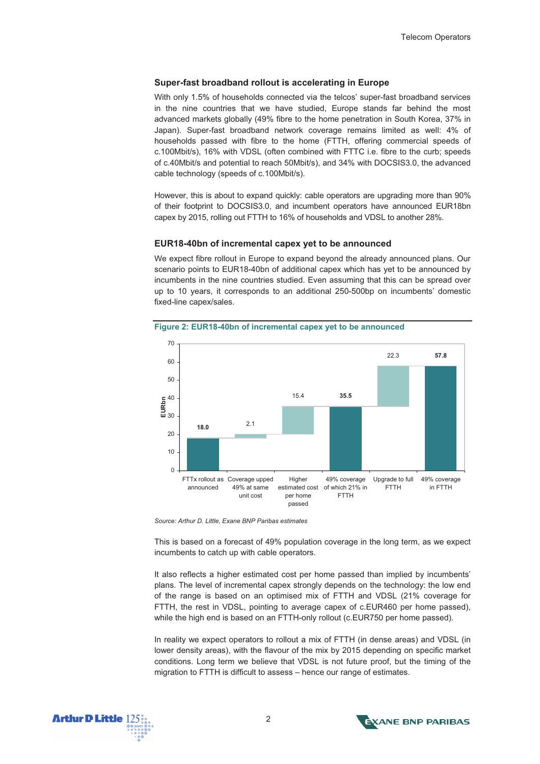#### **Super-fast broadband rollout is accelerating in Europe**

With only 1.5% of households connected via the telcos' super-fast broadband services in the nine countries that we have studied, Europe stands far behind the most advanced markets globally (49% fibre to the home penetration in South Korea, 37% in Japan). Super-fast broadband network coverage remains limited as well: 4% of households passed with fibre to the home (FTTH, offering commercial speeds of c.100Mbit/s), 16% with VDSL (often combined with FTTC i.e. fibre to the curb; speeds of c.40Mbit/s and potential to reach 50Mbit/s), and 34% with DOCSIS3.0, the advanced cable technology (speeds of c.100Mbit/s).

However, this is about to expand quickly: cable operators are upgrading more than 90% of their footprint to DOCSIS3.0, and incumbent operators have announced EUR18bn capex by 2015, rolling out FTTH to 16% of households and VDSL to another 28%.

#### **EUR18-40bn of incremental capex yet to be announced**

We expect fibre rollout in Europe to expand beyond the already announced plans. Our scenario points to EUR18-40bn of additional capex which has yet to be announced by incumbents in the nine countries studied. Even assuming that this can be spread over up to 10 years, it corresponds to an additional 250-500bp on incumbents' domestic fixed-line capex/sales.



**Figure 2: EUR18-40bn of incremental capex yet to be announced** 

*Source: Arthur D. Little, Exane BNP Paribas estimates* 

This is based on a forecast of 49% population coverage in the long term, as we expect incumbents to catch up with cable operators.

It also reflects a higher estimated cost per home passed than implied by incumbents' plans. The level of incremental capex strongly depends on the technology: the low end of the range is based on an optimised mix of FTTH and VDSL (21% coverage for FTTH, the rest in VDSL, pointing to average capex of c.EUR460 per home passed), while the high end is based on an FTTH-only rollout (c.EUR750 per home passed).

In reality we expect operators to rollout a mix of FTTH (in dense areas) and VDSL (in lower density areas), with the flavour of the mix by 2015 depending on specific market conditions. Long term we believe that VDSL is not future proof, but the timing of the migration to FTTH is difficult to assess – hence our range of estimates.



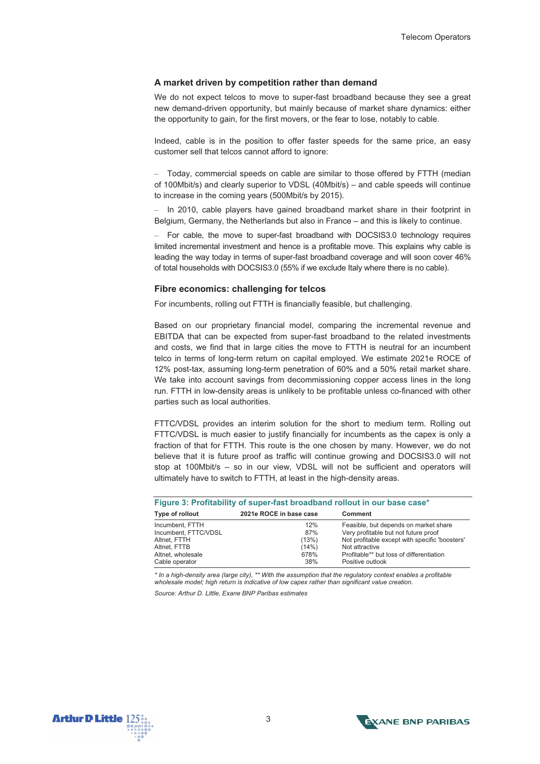#### **A market driven by competition rather than demand**

We do not expect telcos to move to super-fast broadband because they see a great new demand-driven opportunity, but mainly because of market share dynamics: either the opportunity to gain, for the first movers, or the fear to lose, notably to cable.

Indeed, cable is in the position to offer faster speeds for the same price, an easy customer sell that telcos cannot afford to ignore:

– Today, commercial speeds on cable are similar to those offered by FTTH (median of 100Mbit/s) and clearly superior to VDSL (40Mbit/s) – and cable speeds will continue to increase in the coming years (500Mbit/s by 2015).

– In 2010, cable players have gained broadband market share in their footprint in Belgium, Germany, the Netherlands but also in France – and this is likely to continue.

– For cable, the move to super-fast broadband with DOCSIS3.0 technology requires limited incremental investment and hence is a profitable move. This explains why cable is leading the way today in terms of super-fast broadband coverage and will soon cover 46% of total households with DOCSIS3.0 (55% if we exclude Italy where there is no cable).

#### **Fibre economics: challenging for telcos**

For incumbents, rolling out FTTH is financially feasible, but challenging.

Based on our proprietary financial model, comparing the incremental revenue and EBITDA that can be expected from super-fast broadband to the related investments and costs, we find that in large cities the move to FTTH is neutral for an incumbent telco in terms of long-term return on capital employed. We estimate 2021e ROCE of 12% post-tax, assuming long-term penetration of 60% and a 50% retail market share. We take into account savings from decommissioning copper access lines in the long run. FTTH in low-density areas is unlikely to be profitable unless co-financed with other parties such as local authorities.

FTTC/VDSL provides an interim solution for the short to medium term. Rolling out FTTC/VDSL is much easier to justify financially for incumbents as the capex is only a fraction of that for FTTH. This route is the one chosen by many. However, we do not believe that it is future proof as traffic will continue growing and DOCSIS3.0 will not stop at 100Mbit/s – so in our view, VDSL will not be sufficient and operators will ultimately have to switch to FTTH, at least in the high-density areas.

| Figure 3: Profitability of super-fast broadband rollout in our base case* |                         |                                                |  |  |  |  |  |  |
|---------------------------------------------------------------------------|-------------------------|------------------------------------------------|--|--|--|--|--|--|
| Type of rollout                                                           | 2021e ROCE in base case | Comment                                        |  |  |  |  |  |  |
| Incumbent, FTTH                                                           | 12%                     | Feasible, but depends on market share          |  |  |  |  |  |  |
| Incumbent, FTTC/VDSL                                                      | 87%                     | Very profitable but not future proof           |  |  |  |  |  |  |
| Altnet. FTTH                                                              | (13%)                   | Not profitable except with specific 'boosters' |  |  |  |  |  |  |
| Altnet, FTTB                                                              | (14%)                   | Not attractive                                 |  |  |  |  |  |  |
| Altnet, wholesale                                                         | 678%                    | Profitable** but loss of differentiation       |  |  |  |  |  |  |
| Cable operator                                                            | 38%                     | Positive outlook                               |  |  |  |  |  |  |

*\* In a high-density area (large city), \*\* With the assumption that the regulatory context enables a profitable wholesale model; high return is indicative of low capex rather than significant value creation.* 

*Source: Arthur D. Little, Exane BNP Paribas estimates* 



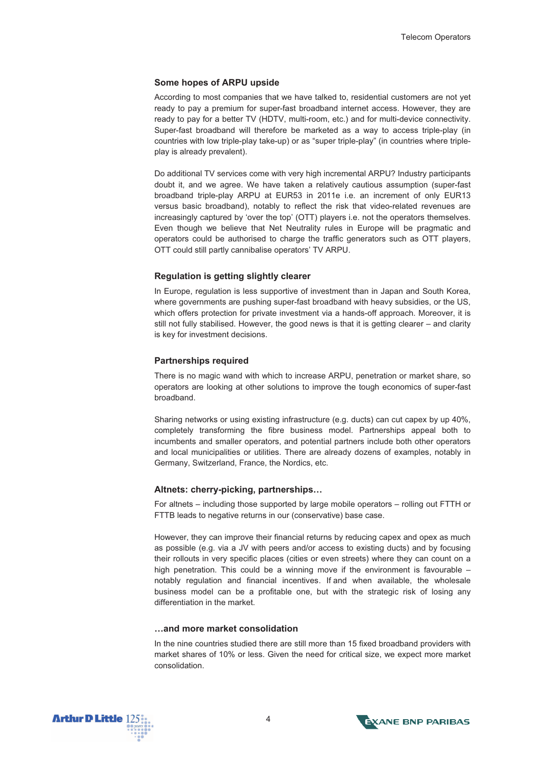#### **Some hopes of ARPU upside**

According to most companies that we have talked to, residential customers are not yet ready to pay a premium for super-fast broadband internet access. However, they are ready to pay for a better TV (HDTV, multi-room, etc.) and for multi-device connectivity. Super-fast broadband will therefore be marketed as a way to access triple-play (in countries with low triple-play take-up) or as "super triple-play" (in countries where tripleplay is already prevalent).

Do additional TV services come with very high incremental ARPU? Industry participants doubt it, and we agree. We have taken a relatively cautious assumption (super-fast broadband triple-play ARPU at EUR53 in 2011e i.e. an increment of only EUR13 versus basic broadband), notably to reflect the risk that video-related revenues are increasingly captured by 'over the top' (OTT) players i.e. not the operators themselves. Even though we believe that Net Neutrality rules in Europe will be pragmatic and operators could be authorised to charge the traffic generators such as OTT players, OTT could still partly cannibalise operators' TV ARPU.

#### **Regulation is getting slightly clearer**

In Europe, regulation is less supportive of investment than in Japan and South Korea, where governments are pushing super-fast broadband with heavy subsidies, or the US, which offers protection for private investment via a hands-off approach. Moreover, it is still not fully stabilised. However, the good news is that it is getting clearer – and clarity is key for investment decisions.

#### **Partnerships required**

There is no magic wand with which to increase ARPU, penetration or market share, so operators are looking at other solutions to improve the tough economics of super-fast broadband.

Sharing networks or using existing infrastructure (e.g. ducts) can cut capex by up 40%, completely transforming the fibre business model. Partnerships appeal both to incumbents and smaller operators, and potential partners include both other operators and local municipalities or utilities. There are already dozens of examples, notably in Germany, Switzerland, France, the Nordics, etc.

#### **Altnets: cherry-picking, partnerships…**

For altnets – including those supported by large mobile operators – rolling out FTTH or FTTB leads to negative returns in our (conservative) base case.

However, they can improve their financial returns by reducing capex and opex as much as possible (e.g. via a JV with peers and/or access to existing ducts) and by focusing their rollouts in very specific places (cities or even streets) where they can count on a high penetration. This could be a winning move if the environment is favourable – notably regulation and financial incentives. If and when available, the wholesale business model can be a profitable one, but with the strategic risk of losing any differentiation in the market.

#### **…and more market consolidation**

In the nine countries studied there are still more than 15 fixed broadband providers with market shares of 10% or less. Given the need for critical size, we expect more market consolidation.



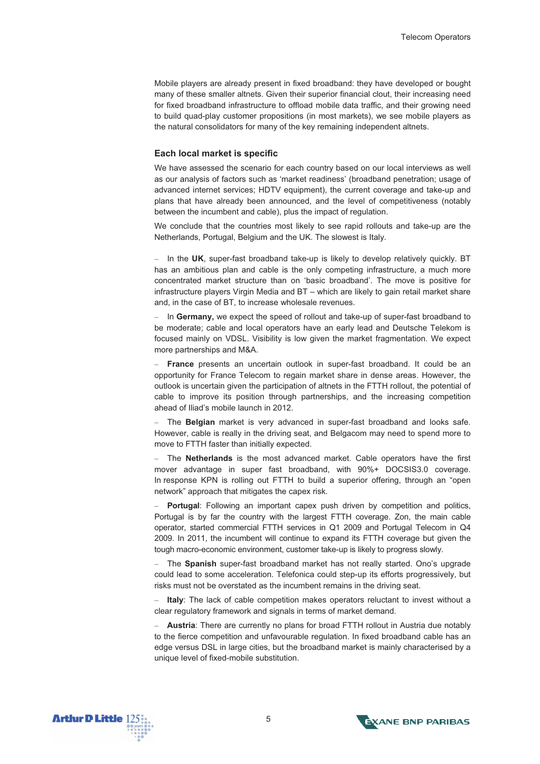Mobile players are already present in fixed broadband: they have developed or bought many of these smaller altnets. Given their superior financial clout, their increasing need for fixed broadband infrastructure to offload mobile data traffic, and their growing need to build quad-play customer propositions (in most markets), we see mobile players as the natural consolidators for many of the key remaining independent altnets.

#### **Each local market is specific**

We have assessed the scenario for each country based on our local interviews as well as our analysis of factors such as 'market readiness' (broadband penetration; usage of advanced internet services; HDTV equipment), the current coverage and take-up and plans that have already been announced, and the level of competitiveness (notably between the incumbent and cable), plus the impact of regulation.

We conclude that the countries most likely to see rapid rollouts and take-up are the Netherlands, Portugal, Belgium and the UK. The slowest is Italy.

– In the **UK**, super-fast broadband take-up is likely to develop relatively quickly. BT has an ambitious plan and cable is the only competing infrastructure, a much more concentrated market structure than on 'basic broadband'. The move is positive for infrastructure players Virgin Media and BT – which are likely to gain retail market share and, in the case of BT, to increase wholesale revenues.

– In **Germany,** we expect the speed of rollout and take-up of super-fast broadband to be moderate; cable and local operators have an early lead and Deutsche Telekom is focused mainly on VDSL. Visibility is low given the market fragmentation. We expect more partnerships and M&A.

– **France** presents an uncertain outlook in super-fast broadband. It could be an opportunity for France Telecom to regain market share in dense areas. However, the outlook is uncertain given the participation of altnets in the FTTH rollout, the potential of cable to improve its position through partnerships, and the increasing competition ahead of Iliad's mobile launch in 2012.

– The **Belgian** market is very advanced in super-fast broadband and looks safe. However, cable is really in the driving seat, and Belgacom may need to spend more to move to FTTH faster than initially expected.

– The **Netherlands** is the most advanced market. Cable operators have the first mover advantage in super fast broadband, with 90%+ DOCSIS3.0 coverage. In response KPN is rolling out FTTH to build a superior offering, through an "open network" approach that mitigates the capex risk.

– **Portugal**: Following an important capex push driven by competition and politics, Portugal is by far the country with the largest FTTH coverage. Zon, the main cable operator, started commercial FTTH services in Q1 2009 and Portugal Telecom in Q4 2009. In 2011, the incumbent will continue to expand its FTTH coverage but given the tough macro-economic environment, customer take-up is likely to progress slowly.

– The **Spanish** super-fast broadband market has not really started. Ono's upgrade could lead to some acceleration. Telefonica could step-up its efforts progressively, but risks must not be overstated as the incumbent remains in the driving seat.

**Italy**: The lack of cable competition makes operators reluctant to invest without a clear regulatory framework and signals in terms of market demand.

– **Austria**: There are currently no plans for broad FTTH rollout in Austria due notably to the fierce competition and unfavourable regulation. In fixed broadband cable has an edge versus DSL in large cities, but the broadband market is mainly characterised by a unique level of fixed-mobile substitution.



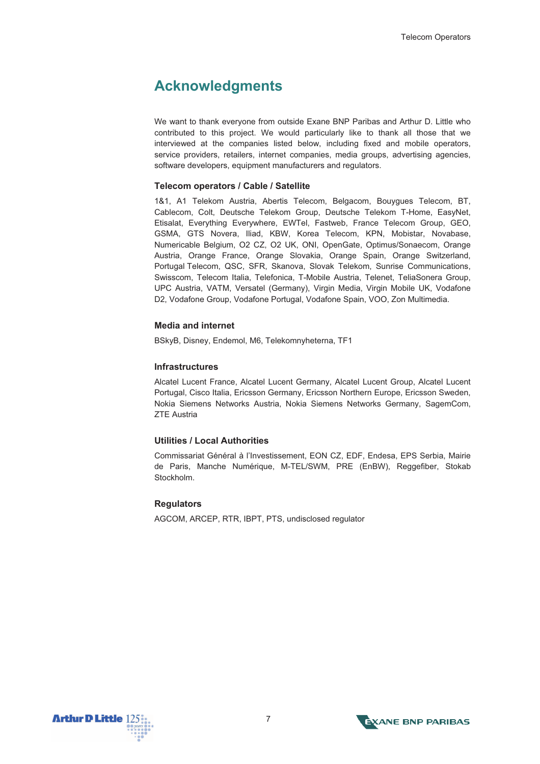### **Acknowledgments**

We want to thank everyone from outside Exane BNP Paribas and Arthur D. Little who contributed to this project. We would particularly like to thank all those that we interviewed at the companies listed below, including fixed and mobile operators, service providers, retailers, internet companies, media groups, advertising agencies, software developers, equipment manufacturers and requiators.

#### **Telecom operators / Cable / Satellite**

1&1, A1 Telekom Austria, Abertis Telecom, Belgacom, Bouygues Telecom, BT, Cablecom, Colt, Deutsche Telekom Group, Deutsche Telekom T-Home, EasyNet, Etisalat, Everything Everywhere, EWTel, Fastweb, France Telecom Group, GEO, GSMA, GTS Novera, Iliad, KBW, Korea Telecom, KPN, Mobistar, Novabase, Numericable Belgium, O2 CZ, O2 UK, ONI, OpenGate, Optimus/Sonaecom, Orange Austria, Orange France, Orange Slovakia, Orange Spain, Orange Switzerland, Portugal Telecom, QSC, SFR, Skanova, Slovak Telekom, Sunrise Communications, Swisscom, Telecom Italia, Telefonica, T-Mobile Austria, Telenet, TeliaSonera Group, UPC Austria, VATM, Versatel (Germany), Virgin Media, Virgin Mobile UK, Vodafone D2, Vodafone Group, Vodafone Portugal, Vodafone Spain, VOO, Zon Multimedia.

#### **Media and internet**

BSkyB, Disney, Endemol, M6, Telekomnyheterna, TF1

#### **Infrastructures**

Alcatel Lucent France, Alcatel Lucent Germany, Alcatel Lucent Group, Alcatel Lucent Portugal, Cisco Italia, Ericsson Germany, Ericsson Northern Europe, Ericsson Sweden, Nokia Siemens Networks Austria, Nokia Siemens Networks Germany, SagemCom, ZTE Austria

#### **Utilities / Local Authorities**

Commissariat Général à l'Investissement, EON CZ, EDF, Endesa, EPS Serbia, Mairie de Paris, Manche Numérique, M-TEL/SWM, PRE (EnBW), Reggefiber, Stokab Stockholm.

#### **Regulators**

AGCOM, ARCEP, RTR, IBPT, PTS, undisclosed regulator



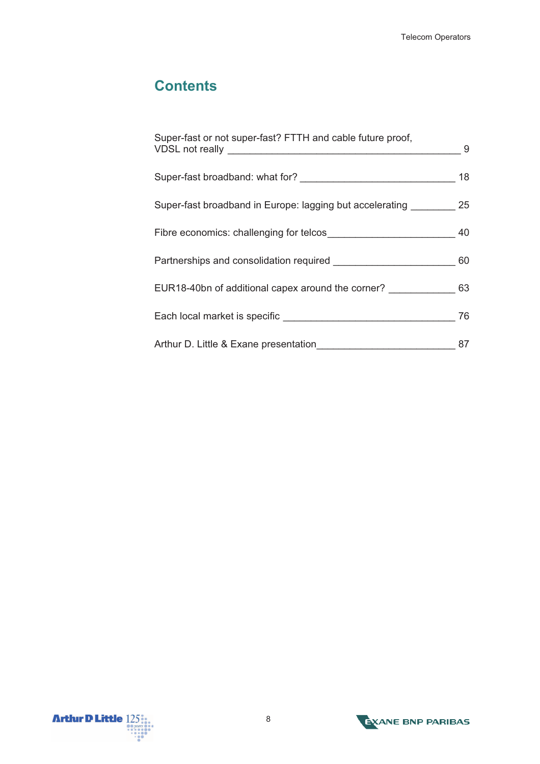## **Contents**

| Super-fast or not super-fast? FTTH and cable future proof,              | - 9 |
|-------------------------------------------------------------------------|-----|
|                                                                         | 18  |
| Super-fast broadband in Europe: lagging but accelerating ___________ 25 |     |
|                                                                         | 40  |
|                                                                         | 60  |
| EUR18-40bn of additional capex around the corner? ________________ 63   |     |
|                                                                         | 76  |
|                                                                         | 87  |



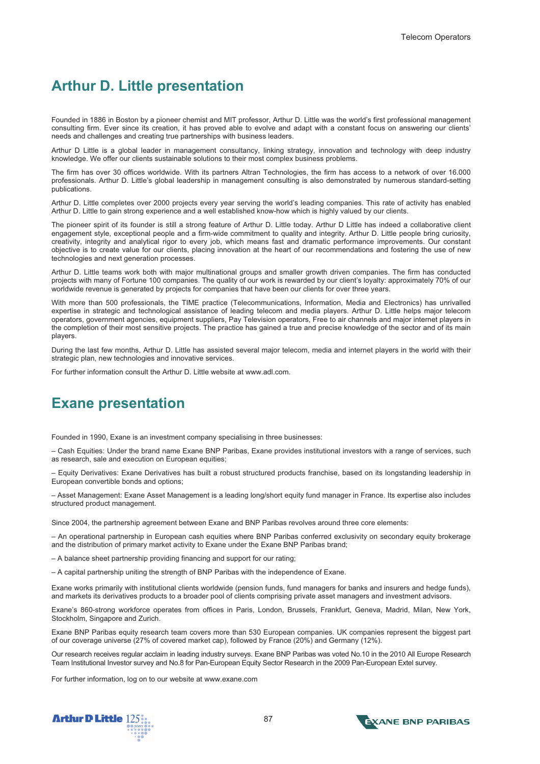### **Arthur D. Little presentation**

Founded in 1886 in Boston by a pioneer chemist and MIT professor, Arthur D. Little was the world's first professional management consulting firm. Ever since its creation, it has proved able to evolve and adapt with a constant focus on answering our clients' needs and challenges and creating true partnerships with business leaders.

Arthur D Little is a global leader in management consultancy, linking strategy, innovation and technology with deep industry knowledge. We offer our clients sustainable solutions to their most complex business problems.

The firm has over 30 offices worldwide. With its partners Altran Technologies, the firm has access to a network of over 16.000 professionals. Arthur D. Little's global leadership in management consulting is also demonstrated by numerous standard-setting publications.

Arthur D. Little completes over 2000 projects every year serving the world's leading companies. This rate of activity has enabled Arthur D. Little to gain strong experience and a well established know-how which is highly valued by our clients.

The pioneer spirit of its founder is still a strong feature of Arthur D. Little today. Arthur D Little has indeed a collaborative client engagement style, exceptional people and a firm-wide commitment to quality and integrity. Arthur D. Little people bring curiosity, creativity, integrity and analytical rigor to every job, which means fast and dramatic performance improvements. Our constant objective is to create value for our clients, placing innovation at the heart of our recommendations and fostering the use of new technologies and next generation processes.

Arthur D. Little teams work both with major multinational groups and smaller growth driven companies. The firm has conducted projects with many of Fortune 100 companies. The quality of our work is rewarded by our client's loyalty: approximately 70% of our worldwide revenue is generated by projects for companies that have been our clients for over three years.

With more than 500 professionals, the TIME practice (Telecommunications, Information, Media and Electronics) has unrivalled expertise in strategic and technological assistance of leading telecom and media players. Arthur D. Little helps major telecom operators, government agencies, equipment suppliers, Pay Television operators, Free to air channels and major internet players in the completion of their most sensitive projects. The practice has gained a true and precise knowledge of the sector and of its main players.

During the last few months, Arthur D. Little has assisted several major telecom, media and internet players in the world with their strategic plan, new technologies and innovative services.

For further information consult the Arthur D. Little website at www.adl.com.

### **Exane presentation**

Founded in 1990, Exane is an investment company specialising in three businesses:

– Cash Equities: Under the brand name Exane BNP Paribas, Exane provides institutional investors with a range of services, such as research, sale and execution on European equities;

– Equity Derivatives: Exane Derivatives has built a robust structured products franchise, based on its longstanding leadership in European convertible bonds and options;

– Asset Management: Exane Asset Management is a leading long/short equity fund manager in France. Its expertise also includes structured product management.

Since 2004, the partnership agreement between Exane and BNP Paribas revolves around three core elements:

– An operational partnership in European cash equities where BNP Paribas conferred exclusivity on secondary equity brokerage and the distribution of primary market activity to Exane under the Exane BNP Paribas brand;

– A balance sheet partnership providing financing and support for our rating;

– A capital partnership uniting the strength of BNP Paribas with the independence of Exane.

Exane works primarily with institutional clients worldwide (pension funds, fund managers for banks and insurers and hedge funds), and markets its derivatives products to a broader pool of clients comprising private asset managers and investment advisors.

Exane's 860-strong workforce operates from offices in Paris, London, Brussels, Frankfurt, Geneva, Madrid, Milan, New York, Stockholm, Singapore and Zurich.

Exane BNP Paribas equity research team covers more than 530 European companies. UK companies represent the biggest part of our coverage universe (27% of covered market cap), followed by France (20%) and Germany (12%).

Our research receives regular acclaim in leading industry surveys. Exane BNP Paribas was voted No.10 in the 2010 All Europe Research Team Institutional Investor survey and No.8 for Pan-European Equity Sector Research in the 2009 Pan-European Extel survey.

For further information, log on to our website at www.exane.com



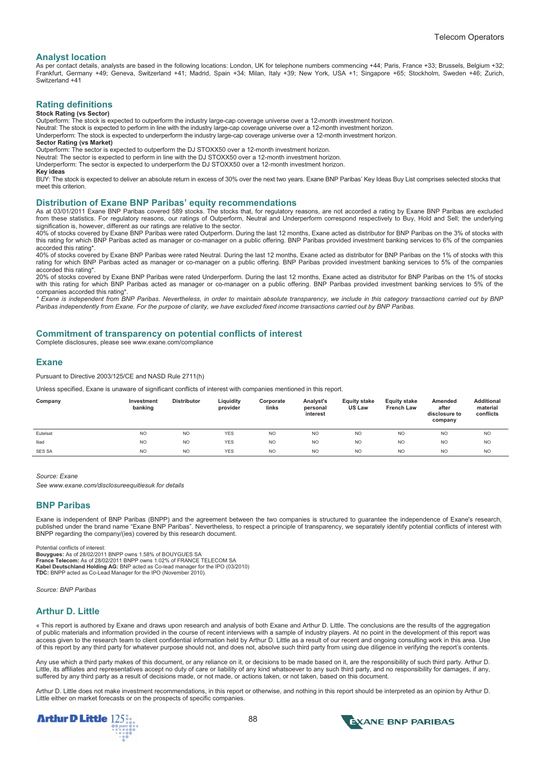#### **Analyst location**

As per contact details, analysts are based in the following locations: London, UK for telephone numbers commencing +44; Paris, France +33; Brussels, Belgium +32; Frankfurt, Germany +49; Geneva, Switzerland +41; Madrid, Spain +34; Milan, Italy +39; New York, USA +1; Singapore +65; Stockholm, Sweden +46; Zurich, Switzerland +41

### **Rating definitions**

#### **Stock Rating (vs Sector)**

Outperform: The stock is expected to outperform the industry large-cap coverage universe over a 12-month investment horizon.

Neutral: The stock is expected to perform in line with the industry large-cap coverage universe over a 12-month investment horizon.

Underperform: The stock is expected to underperform the industry large-cap coverage universe over a 12-month investment horizon. **Sector Rating (vs Market)** 

Outperform: The sector is expected to outperform the DJ STOXX50 over a 12-month investment horizon.

Neutral: The sector is expected to perform in line with the DJ STOXX50 over a 12-month investment horizon. Underperform: The sector is expected to underperform the DJ STOXX50 over a 12-month investment horizon.

**Key ideas** 

BUY: The stock is expected to deliver an absolute return in excess of 30% over the next two years. Exane BNP Paribas' Key Ideas Buy List comprises selected stocks that meet this criterion.

#### **Distribution of Exane BNP Paribas' equity recommendations**

As at 03/01/2011 Exane BNP Paribas covered 589 stocks. The stocks that, for regulatory reasons, are not accorded a rating by Exane BNP Paribas are excluded from these statistics. For regulatory reasons, our ratings of Outperform, Neutral and Underperform correspond respectively to Buy, Hold and Sell; the underlying signification is, however, different as our ratings are relative to the sector.

40% of stocks covered by Exane BNP Paribas were rated Outperform. During the last 12 months, Exane acted as distributor for BNP Paribas on the 3% of stocks with this rating for which BNP Paribas acted as manager or co-manager on a public offering. BNP Paribas provided investment banking services to 6% of the companies accorded this rating\*.

40% of stocks covered by Exane BNP Paribas were rated Neutral. During the last 12 months, Exane acted as distributor for BNP Paribas on the 1% of stocks with this rating for which BNP Paribas acted as manager or co-manager on a public offering. BNP Paribas provided investment banking services to 5% of the companies accorded this rating\*.

20% of stocks covered by Exane BNP Paribas were rated Underperform. During the last 12 months, Exane acted as distributor for BNP Paribas on the 1% of stocks with this rating for which BNP Paribas acted as manager or co-manager on a public offering. BNP Paribas provided investment banking services to 5% of the companies accorded this rating\*.

*\* Exane is independent from BNP Paribas. Nevertheless, in order to maintain absolute transparency, we include in this category transactions carried out by BNP Paribas independently from Exane. For the purpose of clarity, we have excluded fixed income transactions carried out by BNP Paribas.* 

#### **Commitment of transparency on potential conflicts of interest**

Complete disclosures, please see www.exane.com/compliance

#### **Exane**

Pursuant to Directive 2003/125/CE and NASD Rule 2711(h)

Unless specified, Exane is unaware of significant conflicts of interest with companies mentioned in this report.

| Company  | Investment<br>banking | <b>Distributor</b> | Liquidity<br>provider | Corporate<br>links | Analyst's<br>personal<br>interest | <b>Equity stake</b><br><b>US Law</b> | <b>Equity stake</b><br><b>French Law</b> | Amended<br>after<br>disclosure to<br>company | <b>Additional</b><br>material<br>conflicts |
|----------|-----------------------|--------------------|-----------------------|--------------------|-----------------------------------|--------------------------------------|------------------------------------------|----------------------------------------------|--------------------------------------------|
| Eutelsat | N <sub>O</sub>        | N <sub>O</sub>     | <b>YES</b>            | N <sub>O</sub>     | N <sub>O</sub>                    | N <sub>O</sub>                       | N <sub>O</sub>                           | <b>NO</b>                                    | <b>NO</b>                                  |
| lliad    | N <sub>O</sub>        | N <sub>O</sub>     | <b>YES</b>            | N <sub>O</sub>     | <b>NO</b>                         | N <sub>O</sub>                       | N <sub>O</sub>                           | <b>NO</b>                                    | <b>NO</b>                                  |
| SES SA   | <b>NO</b>             | <b>NO</b>          | <b>YES</b>            | <b>NO</b>          | N <sub>O</sub>                    | N <sub>O</sub>                       | N <sub>O</sub>                           | N <sub>O</sub>                               | N <sub>O</sub>                             |

*Source: Exane* 

*See www.exane.com/disclosureequitiesuk for details* 

#### **BNP Paribas**

Exane is independent of BNP Paribas (BNPP) and the agreement between the two companies is structured to guarantee the independence of Exane's research, published under the brand name "Exane BNP Paribas". Nevertheless, to respect a principle of transparency, we separately identify potential conflicts of interest with BNPP regarding the company/(ies) covered by this research document.

Potential conflicts of interest:

Bouygues: As of 28/02/2011 BNPP owns 1.58% of BOUYGUES SA<br>France Telecom: As of 28/02/2011 BNPP owns 1.02% of FRANCE TELECOM SA<br>Kabel Deutschland Holding AG: BNP acted as Co-lead manager for the IPO (03/2010)<br>TDC: BNPP act

*Source: BNP Paribas* 

#### **Arthur D. Little**

« This report is authored by Exane and draws upon research and analysis of both Exane and Arthur D. Little. The conclusions are the results of the aggregation of public materials and information provided in the course of recent interviews with a sample of industry players. At no point in the development of this report was access given to the research team to client confidential information held by Arthur D. Little as a result of our recent and ongoing consulting work in this area. Use of this report by any third party for whatever purpose should not, and does not, absolve such third party from using due diligence in verifying the report's contents.

Any use which a third party makes of this document, or any reliance on it, or decisions to be made based on it, are the responsibility of such third party. Arthur D. Little, its affiliates and representatives accept no duty of care or liability of any kind whatsoever to any such third party, and no responsibility for damages, if any, suffered by any third party as a result of decisions made, or not made, or actions taken, or not taken, based on this document.

Arthur D. Little does not make investment recommendations, in this report or otherwise, and nothing in this report should be interpreted as an opinion by Arthur D. Little either on market forecasts or on the prospects of specific companies.



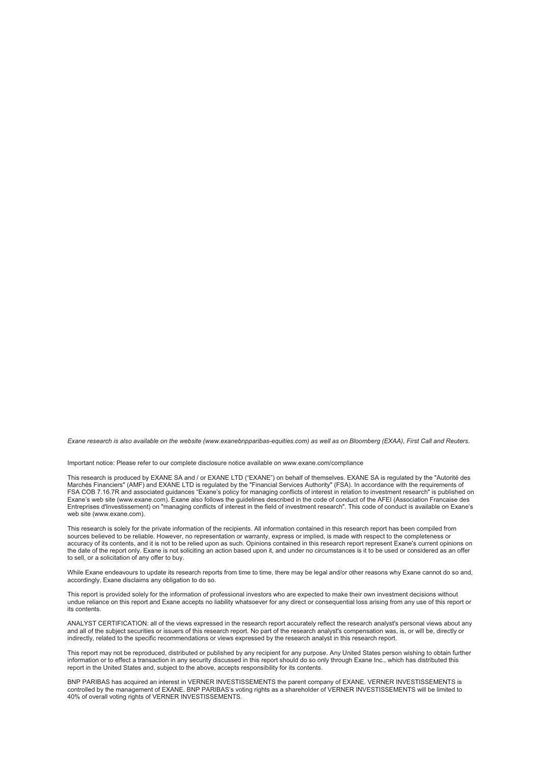*Exane research is also available on the website (www.exanebnpparibas-equities.com) as well as on Bloomberg (EXAA), First Call and Reuters.* 

Important notice: Please refer to our complete disclosure notice available on www.exane.com/compliance

This research is produced by EXANE SA and / or EXANE LTD ("EXANE") on behalf of themselves. EXANE SA is regulated by the "Autorité des Marchés Financiers" (AMF) and EXANE LTD is regulated by the "Financial Services Authority" (FSA). In accordance with the requirements of FSA COB 7.16.7R and associated guidances "Exane's policy for managing conflicts of interest in relation to investment research" is published on Exane's web site (www.exane.com). Exane also follows the guidelines described in the code of conduct of the AFEI (Association Francaise des Entreprises d'Investissement) on "managing conflicts of interest in the field of investment research". This code of conduct is available on Exane's web site (www.exane.com).

This research is solely for the private information of the recipients. All information contained in this research report has been compiled from sources believed to be reliable. However, no representation or warranty, express or implied, is made with respect to the completeness or accuracy of its contents, and it is not to be relied upon as such. Opinions contained in this research report represent Exane's current opinions on the date of the report only. Exane is not soliciting an action based upon it, and under no circumstances is it to be used or considered as an offer to sell, or a solicitation of any offer to buy.

While Exane endeavours to update its research reports from time to time, there may be legal and/or other reasons why Exane cannot do so and, accordingly, Exane disclaims any obligation to do so.

This report is provided solely for the information of professional investors who are expected to make their own investment decisions without undue reliance on this report and Exane accepts no liability whatsoever for any direct or consequential loss arising from any use of this report or its contents.

ANALYST CERTIFICATION: all of the views expressed in the research report accurately reflect the research analyst's personal views about any and all of the subject securities or issuers of this research report. No part of the research analyst's compensation was, is, or will be, directly or indirectly, related to the specific recommendations or views expressed by the research analyst in this research report.

This report may not be reproduced, distributed or published by any recipient for any purpose. Any United States person wishing to obtain further information or to effect a transaction in any security discussed in this report should do so only through Exane Inc., which has distributed this report in the United States and, subject to the above, accepts responsibility for its contents.

BNP PARIBAS has acquired an interest in VERNER INVESTISSEMENTS the parent company of EXANE. VERNER INVESTISSEMENTS is controlled by the management of EXANE. BNP PARIBAS's voting rights as a shareholder of VERNER INVESTISSEMENTS will be limited to 40% of overall voting rights of VERNER INVESTISSEMENTS.